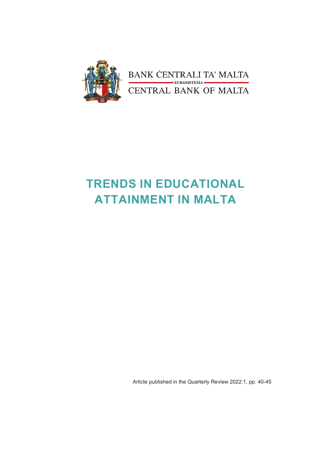

## **TRENDS IN EDUCATIONAL ATTAINMENT IN MALTA**

Article published in the Quarterly Review 2022:1, pp. 40-45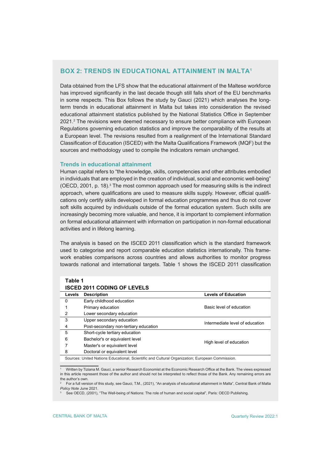## **BOX 2: TRENDS IN EDUCATIONAL ATTAINMENT IN MALTA1**

Data obtained from the LFS show that the educational attainment of the Maltese workforce has improved significantly in the last decade though still falls short of the EU benchmarks in some respects. This Box follows the study by Gauci (2021) which analyses the longterm trends in educational attainment in Malta but takes into consideration the revised educational attainment statistics published by the National Statistics Office in September 2021.2 The revisions were deemed necessary to ensure better compliance with European Regulations governing education statistics and improve the comparability of the results at a European level. The revisions resulted from a realignment of the International Standard Classification of Education (ISCED) with the Malta Qualifications Framework (MQF) but the sources and methodology used to compile the indicators remain unchanged.

## **Trends in educational attainment**

Human capital refers to "the knowledge, skills, competencies and other attributes embodied in individuals that are employed in the creation of individual, social and economic well-being" (OECD, 2001, p. 18). $^3$  The most common approach used for measuring skills is the indirect approach, where qualifications are used to measure skills supply. However, official qualifications only certify skills developed in formal education programmes and thus do not cover soft skills acquired by individuals outside of the formal education system. Such skills are increasingly becoming more valuable, and hence, it is important to complement information on formal educational attainment with information on participation in non-formal educational activities and in lifelong learning.

The analysis is based on the ISCED 2011 classification which is the standard framework used to categorise and report comparable education statistics internationally. This framework enables comparisons across countries and allows authorities to monitor progress towards national and international targets. Table 1 shows the ISCED 2011 classification

| Table 1<br><b>ISCED 2011 CODING OF LEVELS</b> |                                       |                                 |  |  |  |  |
|-----------------------------------------------|---------------------------------------|---------------------------------|--|--|--|--|
| Levels                                        | <b>Description</b>                    | <b>Levels of Education</b>      |  |  |  |  |
| $\Omega$                                      | Early childhood education             |                                 |  |  |  |  |
| 1                                             | Primary education                     | Basic level of education        |  |  |  |  |
| $\overline{2}$                                | Lower secondary education             |                                 |  |  |  |  |
| 3                                             | Upper secondary education             | Intermediate level of education |  |  |  |  |
| 4                                             | Post-secondary non-tertiary education |                                 |  |  |  |  |
| 5                                             | Short-cycle tertiary education        |                                 |  |  |  |  |
| 6                                             | Bachelor's or equivalent level        | High level of education         |  |  |  |  |
| 7                                             | Master's or equivalent level          |                                 |  |  |  |  |
| 8                                             | Doctoral or equivalent level          |                                 |  |  |  |  |

Sources: United Nations Educational, Scientific and Cultural Organization; European Commission.

1 Written by Tiziana M. Gauci, a senior Research Economist at the Economic Research Office at the Bank. The views expressed in this article represent those of the author and should not be interpreted to reflect those of the Bank. Any remaining errors are the author's own.

2 For a full version of this study, see Gauci, T.M., (2021), "An analysis of educational attainment in Malta", Central Bank of Malta *Policy Note* June 2021.

See OECD, (2001), "The Well-being of Nations: The role of human and social capital", Paris: OECD Publishing.

3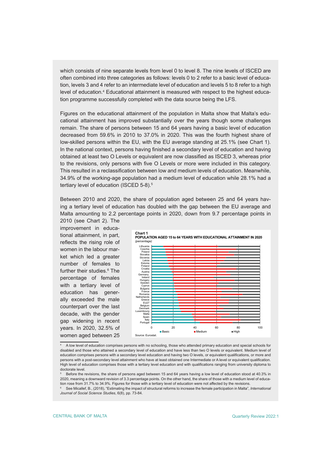which consists of nine separate levels from level 0 to level 8. The nine levels of ISCED are often combined into three categories as follows: levels 0 to 2 refer to a basic level of education, levels 3 and 4 refer to an intermediate level of education and levels 5 to 8 refer to a high level of education.<sup>4</sup> Educational attainment is measured with respect to the highest education programme successfully completed with the data source being the LFS.

Figures on the educational attainment of the population in Malta show that Malta's educational attainment has improved substantially over the years though some challenges remain. The share of persons between 15 and 64 years having a basic level of education decreased from 59.6% in 2010 to 37.0% in 2020. This was the fourth highest share of low-skilled persons within the EU, with the EU average standing at 25.1% (see Chart 1). In the national context, persons having finished a secondary level of education and having obtained at least two O Levels or equivalent are now classified as ISCED 3, whereas prior to the revisions, only persons with five O Levels or more were included in this category. This resulted in a reclassification between low and medium levels of education. Meanwhile, 34.9% of the working-age population had a medium level of education while 28.1% had a tertiary level of education (ISCED 5-8).<sup>5</sup>

Between 2010 and 2020, the share of population aged between 25 and 64 years having a tertiary level of education has doubled with the gap between the EU average and Malta amounting to 2.2 percentage points in 2020, down from 9.7 percentage points in

2010 (see Chart 2). The improvement in educational attainment, in part, reflects the rising role of women in the labour market which led a greater number of females to further their studies.6 The percentage of females with a tertiary level of education has generally exceeded the male counterpart over the last decade, with the gender gap widening in recent years. In 2020, 32.5% of women aged between 25



<sup>4</sup> A low level of education comprises persons with no schooling, those who attended primary education and special schools for disabled and those who attained a secondary level of education and have less than two O levels or equivalent. Medium level of education comprises persons with a secondary level education and having two O levels, or equivalent qualifications, or more and persons with a post-secondary level attainment who have at least obtained one Intermediate or A level or equivalent qualification. High level of education comprises those with a tertiary level education and with qualifications ranging from university diploma to doctorate level.

<sup>5</sup> Before the revisions, the share of persons aged between 15 and 64 years having a low level of education stood at 40.3% in 2020, meaning a downward revision of 3.3 percentage points. On the other hand, the share of those with a medium level of education rose from 31.7% to 34.9%. Figures for those with a tertiary level of education were not affected by the revisions

<sup>6</sup> See Micallef, B., (2018), "Estimating the impact of structural reforms to increase the female participation in Malta", *International Journal of Social Science Studies*, 6(8), pp. 73-84.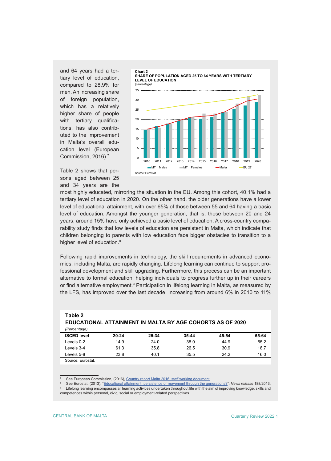and 64 years had a tertiary level of education, compared to 28.9% for men. An increasing share of foreign population, which has a relatively higher share of people with tertiary qualifications, has also contributed to the improvement in Malta's overall education level (European Commission, 2016).<sup>7</sup>



Table 2 shows that persons aged between 25 and 34 years are the

most highly educated, mirroring the situation in the EU. Among this cohort, 40.1% had a tertiary level of education in 2020. On the other hand, the older generations have a lower level of educational attainment, with over 65% of those between 55 and 64 having a basic level of education. Amongst the younger generation, that is, those between 20 and 24 years, around 15% have only achieved a basic level of education. A cross-country comparability study finds that low levels of education are persistent in Malta, which indicate that children belonging to parents with low education face bigger obstacles to transition to a higher level of education.<sup>8</sup>

Following rapid improvements in technology, the skill requirements in advanced economies, including Malta, are rapidly changing. Lifelong learning can continue to support professional development and skill upgrading. Furthermore, this process can be an important alternative to formal education, helping individuals to progress further up in their careers or find alternative employment.º Participation in lifelong learning in Malta, as measured by the LFS, has improved over the last decade, increasing from around 6% in 2010 to 11%

| Table 2                                                          |       |       |       |       |       |
|------------------------------------------------------------------|-------|-------|-------|-------|-------|
| <b>EDUCATIONAL ATTAINMENT IN MALTA BY AGE COHORTS AS OF 2020</b> |       |       |       |       |       |
| (Percentage)                                                     |       |       |       |       |       |
| <b>ISCED level</b>                                               | 20-24 | 25-34 | 35-44 | 45-54 | 55-64 |

| <b>Contract Contract Contract</b><br>the company of the company of |              |      |            |                 |               |
|--------------------------------------------------------------------|--------------|------|------------|-----------------|---------------|
| Levels<br>5-8                                                      | ¬ ∼<br>20.U  | 40 i | ィ<br>ں …ں  | 24.2<br>- - - - | $\sim$<br>v.v |
| ∟evels<br>4-د.                                                     | .,<br>ט. ו ט | ບບ.ບ | つに<br>20.J | 30.9            | ັບ. ເ         |

Source: Eurostat.

7 See European Commission, (2016), [Country report Malta 2016: staff working document](https://ec.europa.eu/info/sites/info/files/cr_malta_2016_en.pdf).

See Eurostat, (2013), ["Educational attainment: persistence or movement through the generations?](https://ec.europa.eu/eurostat/documents/2995521/5168314/3-11122013-AP-EN.PDF/7cb8cff9-50f5-4ee7-920a-64b415af50ee)", *News release* 188/2013.

Levels 0-2 14.9 24.0 38.0 44.9 65.2

9 Lifelong learning encompasses all learning activities undertaken throughout life with the aim of improving knowledge, skills and competences within personal, civic, social or employment-related perspectives.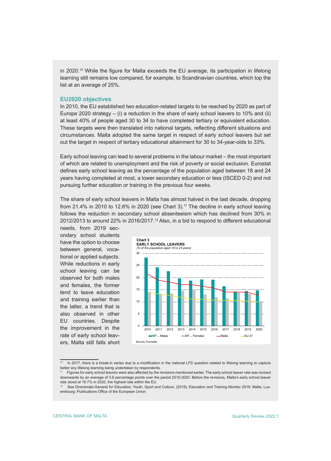in 2020.<sup>10</sup> While the figure for Malta exceeds the EU average, its participation in lifelong learning still remains low compared, for example, to Scandinavian countries, which top the list at an average of 25%.

## **EU2020 objectives**

In 2010, the EU established two education-related targets to be reached by 2020 as part of Europe 2020 strategy – (i) a reduction in the share of early school leavers to 10% and (ii) at least 40% of people aged 30 to 34 to have completed tertiary or equivalent education. These targets were then translated into national targets, reflecting different situations and circumstances. Malta adopted the same target in respect of early school leavers but set out the target in respect of tertiary educational attainment for 30 to 34-year-olds to 33%.

Early school leaving can lead to several problems in the labour market – the most important of which are related to unemployment and the risk of poverty or social exclusion. Eurostat defines early school leaving as the percentage of the population aged between 18 and 24 years having completed at most, a lower secondary education or less (ISCED 0-2) and not pursuing further education or training in the previous four weeks.

The share of early school leavers in Malta has almost halved in the last decade, dropping from 21.4% in 2010 to 12.6% in 2020 (see Chart 3).<sup>11</sup> The decline in early school leaving follows the reduction in secondary school absenteeism which has declined from 30% in 2012/2013 to around 22% in 2016/2017.<sup>12</sup> Also, in a bid to respond to different educational

needs, from 2019 secondary school students have the option to choose between general, vocational or applied subjects. While reductions in early school leaving can be observed for both males and females, the former tend to leave education and training earlier than the latter, a trend that is also observed in other EU countries. Despite the improvement in the rate of early school leavers, Malta still falls short



In 2017, there is a break-in series due to a modification in the national LFS question related to lifelong learning to capture better any lifelong learning being undertaken by respondents.

<sup>11</sup> Figures for early school leavers were also affected by the revisions mentioned earlier. The early school leaver rate was revised downwards by an average of 3.6 percentage points over the period 2010-2020. Before the revisions, Malta's early school leaver rate stood at 16.7% in 2020, the highest rate within the EU.

<sup>12</sup> See Directorate-General for Education, Youth, Sport and Culture, (2019), Education and Training Monitor 2019: Malta, Luxembourg: Publications Office of the European Union.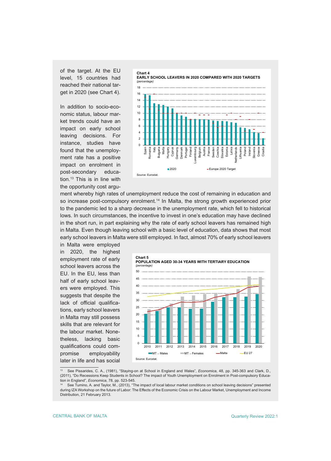of the target. At the EU level, 15 countries had reached their national target in 2020 (see Chart 4).

In addition to socio-economic status, labour market trends could have an impact on early school leaving decisions. For instance, studies have found that the unemployment rate has a positive impact on enrolment in post-secondary education.13 This is in line with the opportunity cost argu-



ment whereby high rates of unemployment reduce the cost of remaining in education and so increase post-compulsory enrolment.<sup>14</sup> In Malta, the strong growth experienced prior to the pandemic led to a sharp decrease in the unemployment rate, which fell to historical lows. In such circumstances, the incentive to invest in one's education may have declined in the short run, in part explaining why the rate of early school leavers has remained high in Malta. Even though leaving school with a basic level of education, data shows that most early school leavers in Malta were still employed. In fact, almost 70% of early school leavers

in Malta were employed in 2020, the highest employment rate of early school leavers across the EU. In the EU, less than half of early school leavers were employed. This suggests that despite the lack of official qualifications, early school leavers in Malta may still possess skills that are relevant for the labour market. Nonetheless, lacking basic qualifications could compromise employability later in life and has social



<sup>13</sup> See Pissarides, C. A., (1981), "Staying-on at School in England and Wales", *Economica*, 48, pp. 345-363 and Clark, D., (2011), "Do Recessions Keep Students in School? The impact of Youth Unemployment on Enrolment in Post-compulsory Education in England", *Economica*, 78, pp. 523-545.

See Tumino, A. and Taylor, M., (2013), "The impact of local labour market conditions on school leaving decisions" presented during IZA Workshop on the future of Labor: The Effects of the Economic Crisis on the Labour Market, Unemployment and Income Distribution, 21 February 2013.